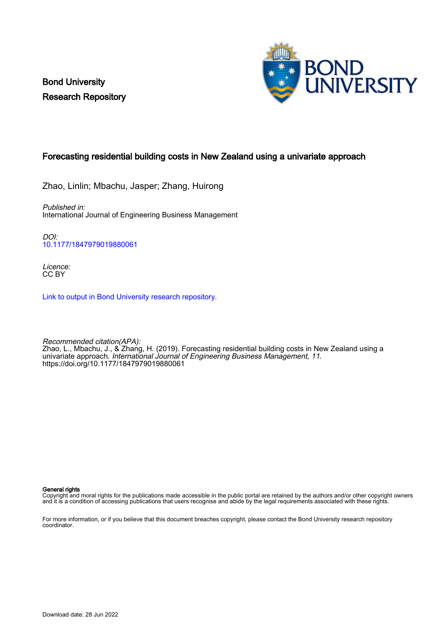Bond University Research Repository



## Forecasting residential building costs in New Zealand using a univariate approach

Zhao, Linlin; Mbachu, Jasper; Zhang, Huirong

Published in: International Journal of Engineering Business Management

DOI: [10.1177/1847979019880061](https://doi.org/10.1177/1847979019880061)

Licence: CC BY

[Link to output in Bond University research repository.](https://research.bond.edu.au/en/publications/c7442057-4cd4-4dba-a79e-a7e4de26f21f)

Recommended citation(APA): Zhao, L., Mbachu, J., & Zhang, H. (2019). Forecasting residential building costs in New Zealand using a univariate approach. International Journal of Engineering Business Management, 11. <https://doi.org/10.1177/1847979019880061>

#### General rights

Copyright and moral rights for the publications made accessible in the public portal are retained by the authors and/or other copyright owners and it is a condition of accessing publications that users recognise and abide by the legal requirements associated with these rights.

For more information, or if you believe that this document breaches copyright, please contact the Bond University research repository coordinator.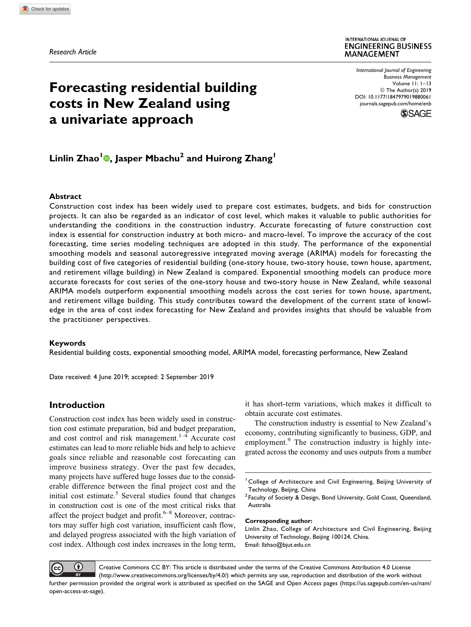Research Article

# Forecasting residential building costs in New Zealand using a univariate approach

International Journal of Engineering Business Management Volume 11: 1–13 © The Author(s) 2019 [DOI: 10.1177/1847979019880061](https://doi.org/10.1177/1847979019880061) [journals.sagepub.com/home/enb](http://journals.sagepub.com/home/enb)



# Linlin Zhao<sup>1</sup> , Jasper Mbachu<sup>2</sup> and Huirong Zhang<sup>1</sup>

#### Abstract

Construction cost index has been widely used to prepare cost estimates, budgets, and bids for construction projects. It can also be regarded as an indicator of cost level, which makes it valuable to public authorities for understanding the conditions in the construction industry. Accurate forecasting of future construction cost index is essential for construction industry at both micro- and macro-level. To improve the accuracy of the cost forecasting, time series modeling techniques are adopted in this study. The performance of the exponential smoothing models and seasonal autoregressive integrated moving average (ARIMA) models for forecasting the building cost of five categories of residential building (one-story house, two-story house, town house, apartment, and retirement village building) in New Zealand is compared. Exponential smoothing models can produce more accurate forecasts for cost series of the one-story house and two-story house in New Zealand, while seasonal ARIMA models outperform exponential smoothing models across the cost series for town house, apartment, and retirement village building. This study contributes toward the development of the current state of knowledge in the area of cost index forecasting for New Zealand and provides insights that should be valuable from the practitioner perspectives.

#### Keywords

Residential building costs, exponential smoothing model, ARIMA model, forecasting performance, New Zealand

Date received: 4 June 2019; accepted: 2 September 2019

## Introduction

Construction cost index has been widely used in construction cost estimate preparation, bid and budget preparation, and cost control and risk management. $1-4$  Accurate cost estimates can lead to more reliable bids and help to achieve goals since reliable and reasonable cost forecasting can improve business strategy. Over the past few decades, many projects have suffered huge losses due to the considerable difference between the final project cost and the initial cost estimate.<sup>5</sup> Several studies found that changes in construction cost is one of the most critical risks that affect the project budget and profit. $6-8$  Moreover, contractors may suffer high cost variation, insufficient cash flow, and delayed progress associated with the high variation of cost index. Although cost index increases in the long term,

it has short-term variations, which makes it difficult to obtain accurate cost estimates.

The construction industry is essential to New Zealand's economy, contributing significantly to business, GDP, and employment.<sup>9</sup> The construction industry is highly integrated across the economy and uses outputs from a number

#### Corresponding author:

Linlin Zhao, College of Architecture and Civil Engineering, Beijing University of Technology, Beijing 100124, China. Email: [llzhao@bjut.edu.cn](mailto:llzhao@bjut.edu.cn)



Creative Commons CC BY: This article is distributed under the terms of the Creative Commons Attribution 4.0 License (http://www.creativecommons.org/licenses/by/4.0/) which permits any use, reproduction and distribution of the work without further permission provided the original work is attributed as specified on the SAGE and Open Access pages ([https://us.sagepub.com/en-us/nam/](https://us.sagepub.com/en-us/nam/open-access-at-sage) [open-access-at-sage\)](https://us.sagepub.com/en-us/nam/open-access-at-sage).

<sup>&</sup>lt;sup>1</sup> College of Architecture and Civil Engineering, Beijing University of Technology, Beijing, China

<sup>&</sup>lt;sup>2</sup> Faculty of Society & Design, Bond University, Gold Coast, Queensland, Australia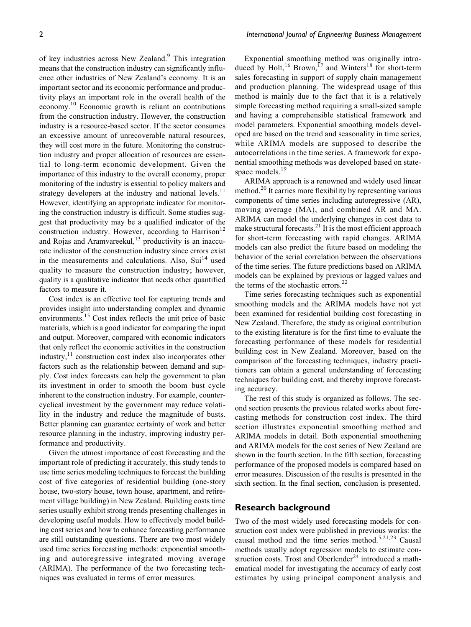of key industries across New Zealand.<sup>9</sup> This integration means that the construction industry can significantly influence other industries of New Zealand's economy. It is an important sector and its economic performance and productivity plays an important role in the overall health of the economy.<sup>10</sup> Economic growth is reliant on contributions from the construction industry. However, the construction industry is a resource-based sector. If the sector consumes an excessive amount of unrecoverable natural resources, they will cost more in the future. Monitoring the construction industry and proper allocation of resources are essential to long-term economic development. Given the importance of this industry to the overall economy, proper monitoring of the industry is essential to policy makers and strategy developers at the industry and national levels. $11$ However, identifying an appropriate indicator for monitoring the construction industry is difficult. Some studies suggest that productivity may be a qualified indicator of the construction industry. However, according to Harrison<sup>12</sup> and Rojas and Aramvareekul, $^{13}$  productivity is an inaccurate indicator of the construction industry since errors exist in the measurements and calculations. Also,  $Sui<sup>14</sup>$  used quality to measure the construction industry; however, quality is a qualitative indicator that needs other quantified factors to measure it.

Cost index is an effective tool for capturing trends and provides insight into understanding complex and dynamic environments.<sup>15</sup> Cost index reflects the unit price of basic materials, which is a good indicator for comparing the input and output. Moreover, compared with economic indicators that only reflect the economic activities in the construction industry, $11$  construction cost index also incorporates other factors such as the relationship between demand and supply. Cost index forecasts can help the government to plan its investment in order to smooth the boom–bust cycle inherent to the construction industry. For example, countercyclical investment by the government may reduce volatility in the industry and reduce the magnitude of busts. Better planning can guarantee certainty of work and better resource planning in the industry, improving industry performance and productivity.

Given the utmost importance of cost forecasting and the important role of predicting it accurately, this study tends to use time series modeling techniques to forecast the building cost of five categories of residential building (one-story house, two-story house, town house, apartment, and retirement village building) in New Zealand. Building costs time series usually exhibit strong trends presenting challenges in developing useful models. How to effectively model building cost series and how to enhance forecasting performance are still outstanding questions. There are two most widely used time series forecasting methods: exponential smoothing and autoregressive integrated moving average (ARIMA). The performance of the two forecasting techniques was evaluated in terms of error measures.

Exponential smoothing method was originally introduced by Holt,<sup>16</sup> Brown,<sup>17</sup> and Winters<sup>18</sup> for short-term sales forecasting in support of supply chain management and production planning. The widespread usage of this method is mainly due to the fact that it is a relatively simple forecasting method requiring a small-sized sample and having a comprehensible statistical framework and model parameters. Exponential smoothing models developed are based on the trend and seasonality in time series, while ARIMA models are supposed to describe the autocorrelations in the time series. A framework for exponential smoothing methods was developed based on statespace models.<sup>19</sup>

ARIMA approach is a renowned and widely used linear method.<sup>20</sup> It carries more flexibility by representing various components of time series including autoregressive (AR), moving average (MA), and combined AR and MA. ARIMA can model the underlying changes in cost data to make structural forecasts. $^{21}$  It is the most efficient approach for short-term forecasting with rapid changes. ARIMA models can also predict the future based on modeling the behavior of the serial correlation between the observations of the time series. The future predictions based on ARIMA models can be explained by previous or lagged values and the terms of the stochastic errors.<sup>22</sup>

Time series forecasting techniques such as exponential smoothing models and the ARIMA models have not yet been examined for residential building cost forecasting in New Zealand. Therefore, the study as original contribution to the existing literature is for the first time to evaluate the forecasting performance of these models for residential building cost in New Zealand. Moreover, based on the comparison of the forecasting techniques, industry practitioners can obtain a general understanding of forecasting techniques for building cost, and thereby improve forecasting accuracy.

The rest of this study is organized as follows. The second section presents the previous related works about forecasting methods for construction cost index. The third section illustrates exponential smoothing method and ARIMA models in detail. Both exponential smoothening and ARIMA models for the cost series of New Zealand are shown in the fourth section. In the fifth section, forecasting performance of the proposed models is compared based on error measures. Discussion of the results is presented in the sixth section. In the final section, conclusion is presented.

## Research background

Two of the most widely used forecasting models for construction cost index were published in previous works: the causal method and the time series method.<sup>5,21,23</sup> Causal methods usually adopt regression models to estimate construction costs. Trost and Oberlender<sup>24</sup> introduced a mathematical model for investigating the accuracy of early cost estimates by using principal component analysis and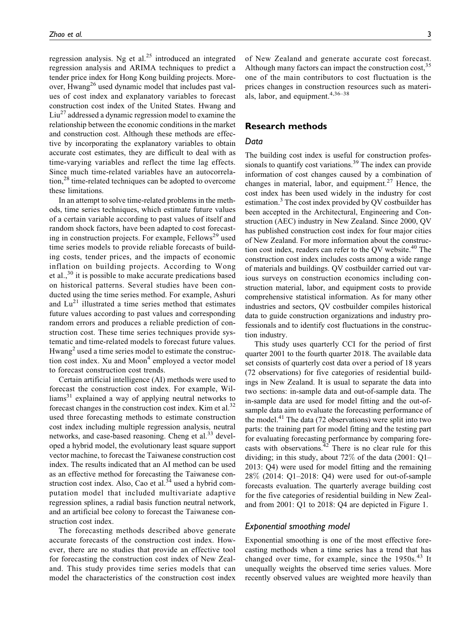regression analysis. Ng et al. $^{25}$  introduced an integrated regression analysis and ARIMA techniques to predict a tender price index for Hong Kong building projects. Moreover,  $Hwang<sup>26</sup>$  used dynamic model that includes past values of cost index and explanatory variables to forecast construction cost index of the United States. Hwang and  $\text{Liu}^{27}$  addressed a dynamic regression model to examine the relationship between the economic conditions in the market and construction cost. Although these methods are effective by incorporating the explanatory variables to obtain accurate cost estimates, they are difficult to deal with as time-varying variables and reflect the time lag effects. Since much time-related variables have an autocorrelation,<sup>28</sup> time-related techniques can be adopted to overcome these limitations.

In an attempt to solve time-related problems in the methods, time series techniques, which estimate future values of a certain variable according to past values of itself and random shock factors, have been adapted to cost forecasting in construction projects. For example, Fellows<sup>29</sup> used time series models to provide reliable forecasts of building costs, tender prices, and the impacts of economic inflation on building projects. According to Wong et al.,<sup>30</sup> it is possible to make accurate predications based on historical patterns. Several studies have been conducted using the time series method. For example, Ashuri and  $Lu^{21}$  illustrated a time series method that estimates future values according to past values and corresponding random errors and produces a reliable prediction of construction cost. These time series techniques provide systematic and time-related models to forecast future values.  $Hwang<sup>2</sup>$  used a time series model to estimate the construction cost index. Xu and Moon<sup>4</sup> employed a vector model to forecast construction cost trends.

Certain artificial intelligence (AI) methods were used to forecast the construction cost index. For example, Wil- $\text{liams}^{31}$  explained a way of applying neutral networks to forecast changes in the construction cost index. Kim et al. $^{32}$ used three forecasting methods to estimate construction cost index including multiple regression analysis, neutral networks, and case-based reasoning. Cheng et al.<sup>33</sup> developed a hybrid model, the evolutionary least square support vector machine, to forecast the Taiwanese construction cost index. The results indicated that an AI method can be used as an effective method for forecasting the Taiwanese construction cost index. Also, Cao et al. $34$  used a hybrid computation model that included multivariate adaptive regression splines, a radial basis function neutral network, and an artificial bee colony to forecast the Taiwanese construction cost index.

The forecasting methods described above generate accurate forecasts of the construction cost index. However, there are no studies that provide an effective tool for forecasting the construction cost index of New Zealand. This study provides time series models that can model the characteristics of the construction cost index of New Zealand and generate accurate cost forecast. Although many factors can impact the construction cost,<sup>35</sup> one of the main contributors to cost fluctuation is the prices changes in construction resources such as materials, labor, and equipment.<sup>4,36-38</sup>

## Research methods

### Data

The building cost index is useful for construction professionals to quantify cost variations.<sup>39</sup> The index can provide information of cost changes caused by a combination of changes in material, labor, and equipment.<sup>27</sup> Hence, the cost index has been used widely in the industry for cost estimation.<sup>3</sup> The cost index provided by OV costbuilder has been accepted in the Architectural, Engineering and Construction (AEC) industry in New Zealand. Since 2000, QV has published construction cost index for four major cities of New Zealand. For more information about the construction cost index, readers can refer to the QV website.<sup>40</sup> The construction cost index includes costs among a wide range of materials and buildings. QV costbuilder carried out various surveys on construction economics including construction material, labor, and equipment costs to provide comprehensive statistical information. As for many other industries and sectors, QV costbuilder compiles historical data to guide construction organizations and industry professionals and to identify cost fluctuations in the construction industry.

This study uses quarterly CCI for the period of first quarter 2001 to the fourth quarter 2018. The available data set consists of quarterly cost data over a period of 18 years (72 observations) for five categories of residential buildings in New Zealand. It is usual to separate the data into two sections: in-sample data and out-of-sample data. The in-sample data are used for model fitting and the out-ofsample data aim to evaluate the forecasting performance of the model.<sup>41</sup> The data (72 observations) were split into two parts: the training part for model fitting and the testing part for evaluating forecasting performance by comparing forecasts with observations. $42$  There is no clear rule for this dividing; in this study, about 72% of the data (2001: Q1– 2013: Q4) were used for model fitting and the remaining 28% (2014: Q1–2018: Q4) were used for out-of-sample forecasts evaluation. The quarterly average building cost for the five categories of residential building in New Zealand from 2001: Q1 to 2018: Q4 are depicted in Figure 1.

#### Exponential smoothing model

Exponential smoothing is one of the most effective forecasting methods when a time series has a trend that has changed over time, for example, since the 1950s.<sup>43</sup> It unequally weights the observed time series values. More recently observed values are weighted more heavily than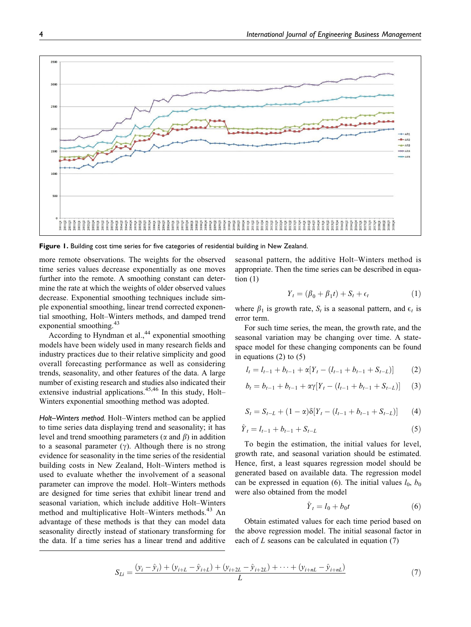

Figure 1. Building cost time series for five categories of residential building in New Zealand.

more remote observations. The weights for the observed time series values decrease exponentially as one moves further into the remote. A smoothing constant can determine the rate at which the weights of older observed values decrease. Exponential smoothing techniques include simple exponential smoothing, linear trend corrected exponential smoothing, Holt–Winters methods, and damped trend exponential smoothing. $43$ 

According to Hyndman et al.,<sup>44</sup> exponential smoothing models have been widely used in many research fields and industry practices due to their relative simplicity and good overall forecasting performance as well as considering trends, seasonality, and other features of the data. A large number of existing research and studies also indicated their extensive industrial applications.<sup>45,46</sup> In this study, Holt– Winters exponential smoothing method was adopted.

Holt–Winters method. Holt–Winters method can be applied to time series data displaying trend and seasonality; it has level and trend smoothing parameters ( $\alpha$  and  $\beta$ ) in addition to a seasonal parameter  $(y)$ . Although there is no strong evidence for seasonality in the time series of the residential building costs in New Zealand, Holt–Winters method is used to evaluate whether the involvement of a seasonal parameter can improve the model. Holt–Winters methods are designed for time series that exhibit linear trend and seasonal variation, which include additive Holt–Winters method and multiplicative Holt–Winters methods.<sup>43</sup> An advantage of these methods is that they can model data seasonality directly instead of stationary transforming for the data. If a time series has a linear trend and additive seasonal pattern, the additive Holt–Winters method is appropriate. Then the time series can be described in equation  $(1)$ 

$$
Y_t = (\beta_0 + \beta_1 t) + S_t + \epsilon_t \tag{1}
$$

where  $\beta_1$  is growth rate,  $S_t$  is a seasonal pattern, and  $\epsilon_t$  is error term.

For such time series, the mean, the growth rate, and the seasonal variation may be changing over time. A statespace model for these changing components can be found in equations  $(2)$  to  $(5)$ 

$$
l_{t} = l_{t-1} + b_{t-1} + \alpha [Y_{t} - (l_{t-1} + b_{t-1} + S_{t-L})]
$$
 (2)

$$
b_{t} = b_{t-1} + b_{t-1} + \alpha \gamma [Y_t - (l_{t-1} + b_{t-1} + S_{t-L})] \qquad (3)
$$

$$
S_t = S_{t-L} + (1 - \alpha)\delta[Y_t - (l_{t-1} + b_{t-1} + S_{t-L})]
$$
 (4)

$$
\hat{Y}_t = l_{t-1} + b_{t-1} + S_{t-L} \tag{5}
$$

To begin the estimation, the initial values for level, growth rate, and seasonal variation should be estimated. Hence, first, a least squares regression model should be generated based on available data. The regression model can be expressed in equation (6). The initial values  $l_0$ ,  $b_0$ were also obtained from the model

$$
\hat{Y}_t = l_0 + b_0 t \tag{6}
$$

Obtain estimated values for each time period based on the above regression model. The initial seasonal factor in each of  $L$  seasons can be calculated in equation  $(7)$ 

$$
S_{Li} = \frac{(y_i - \hat{y}_i) + (y_{i+L} - \hat{y}_{i+L}) + (y_{i+2L} - \hat{y}_{i+2L}) + \dots + (y_{i+2} - \hat{y}_{i+2L})}{L}
$$
(7)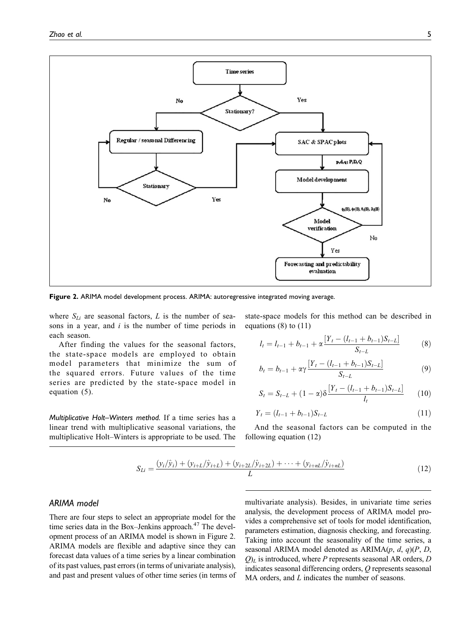

Figure 2. ARIMA model development process. ARIMA: autoregressive integrated moving average.

where  $S_{Li}$  are seasonal factors, L is the number of seasons in a year, and  $i$  is the number of time periods in each season.

After finding the values for the seasonal factors, the state-space models are employed to obtain model parameters that minimize the sum of the squared errors. Future values of the time series are predicted by the state-space model in equation (5).

Multiplicative Holt–Winters method. If a time series has a linear trend with multiplicative seasonal variations, the multiplicative Holt–Winters is appropriate to be used. The

state-space models for this method can be described in equations  $(8)$  to  $(11)$ 

$$
l_{t} = l_{t-1} + b_{t-1} + \alpha \frac{[Y_{t} - (l_{t-1} + b_{t-1})S_{t-L}]}{S_{t-L}}
$$
(8)

$$
b_{t} = b_{t-1} + \alpha \gamma \frac{[Y_{t} - (l_{t-1} + b_{t-1})S_{t-L}]}{S_{t-L}}
$$
\n(9)

$$
S_t = S_{t-L} + (1 - \alpha)\delta \frac{[Y_t - (l_{t-1} + b_{t-1})S_{t-L}]}{l_t}
$$
 (10)

$$
Y_t = (l_{t-1} + b_{t-1})S_{t-L} \tag{11}
$$

And the seasonal factors can be computed in the following equation (12)

$$
S_{Li} = \frac{(y_i/\hat{y}_i) + (y_{i+L}/\hat{y}_{i+L}) + (y_{i+2L}/\hat{y}_{i+2L}) + \dots + (y_{i+nL}/\hat{y}_{i+nL})}{L}
$$
(12)

## ARIMA model

There are four steps to select an appropriate model for the time series data in the Box–Jenkins approach. $47$  The development process of an ARIMA model is shown in Figure 2. ARIMA models are flexible and adaptive since they can forecast data values of a time series by a linear combination of its past values, past errors (in terms of univariate analysis), and past and present values of other time series (in terms of multivariate analysis). Besides, in univariate time series analysis, the development process of ARIMA model provides a comprehensive set of tools for model identification, parameters estimation, diagnosis checking, and forecasting. Taking into account the seasonality of the time series, a seasonal ARIMA model denoted as  $ARIMA(p, d, q)(P, D, q)$  $Q_L$  is introduced, where P represents seasonal AR orders, D indicates seasonal differencing orders, Q represents seasonal MA orders, and *L* indicates the number of seasons.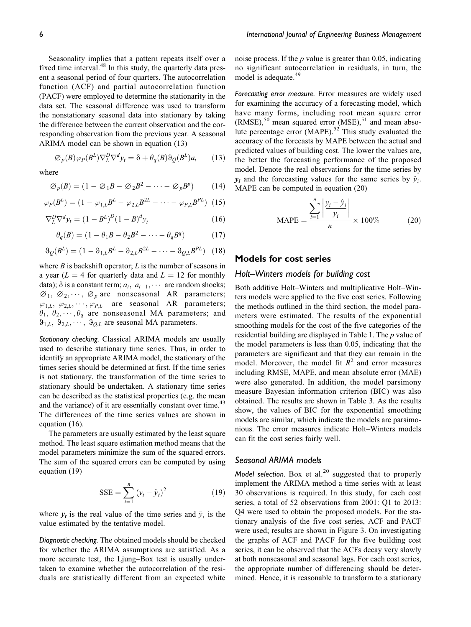Seasonality implies that a pattern repeats itself over a fixed time interval.<sup>48</sup> In this study, the quarterly data present a seasonal period of four quarters. The autocorrelation function (ACF) and partial autocorrelation function (PACF) were employed to determine the stationarity in the data set. The seasonal difference was used to transform the nonstationary seasonal data into stationary by taking the difference between the current observation and the corresponding observation from the previous year. A seasonal ARIMA model can be shown in equation (13)

$$
\varnothing_P(B)\varphi_P(B^L)\nabla^D_L\nabla^d y_t = \delta + \theta_q(B)\vartheta_Q(B^L)a_t \qquad (13)
$$

where

$$
\varnothing_p(B) = (1 - \varnothing_1 B - \varnothing_2 B^2 - \dots - \varnothing_p B^p) \qquad (14)
$$

$$
\varphi_P(B^L) = (1 - \varphi_{1,L} B^L - \varphi_{2,L} B^{2L} - \dots - \varphi_{P,L} B^{PL})
$$
 (15)

$$
\nabla_L^D \nabla^d y_t = (1 - B^L)^D (1 - B)^d y_t \tag{16}
$$

$$
\theta_q(B) = (1 - \theta_1 B - \theta_2 B^2 - \dots - \theta_q B^q) \tag{17}
$$

$$
\vartheta_{Q}(B^{L}) = (1 - \vartheta_{1,L}B^{L} - \vartheta_{2,L}B^{2L} - \dots - \vartheta_{Q,L}B^{PL})
$$
 (18)

where  $B$  is backshift operator;  $L$  is the number of seasons in a year ( $L = 4$  for quarterly data and  $L = 12$  for monthly data);  $\delta$  is a constant term;  $a_t$ ,  $a_{t-1}$ ,  $\cdots$  are random shocks;  $\varnothing_1, \varnothing_2, \cdots, \varnothing_p$  are nonseasonal AR parameters;  $\varphi_{1,L}, \varphi_{2,L}, \cdots, \varphi_{PL}$  are seasonal AR parameters;  $\theta_1, \theta_2, \dots, \theta_q$  are nonseasonal MA parameters; and  $\vartheta_{1,L}, \vartheta_{2,L}, \cdots, \vartheta_{Q,L}$  are seasonal MA parameters.

Stationary checking. Classical ARIMA models are usually used to describe stationary time series. Thus, in order to identify an appropriate ARIMA model, the stationary of the times series should be determined at first. If the time series is not stationary, the transformation of the time series to stationary should be undertaken. A stationary time series can be described as the statistical properties (e.g. the mean and the variance) of it are essentially constant over time.<sup>43</sup> The differences of the time series values are shown in equation (16).

The parameters are usually estimated by the least square method. The least square estimation method means that the model parameters minimize the sum of the squared errors. The sum of the squared errors can be computed by using equation (19)

$$
SSE = \sum_{t=1}^{n} (y_t - \hat{y}_t)^2
$$
 (19)

where  $y_t$  is the real value of the time series and  $\hat{y}_t$  is the value estimated by the tentative model.

Diagnostic checking. The obtained models should be checked for whether the ARIMA assumptions are satisfied. As a more accurate test, the Ljung–Box test is usually undertaken to examine whether the autocorrelation of the residuals are statistically different from an expected white noise process. If the  $p$  value is greater than 0.05, indicating no significant autocorrelation in residuals, in turn, the model is adequate.<sup>49</sup>

Forecasting error measure. Error measures are widely used for examining the accuracy of a forecasting model, which have many forms, including root mean square error  $(RMSE)$ ,<sup>50</sup> mean squared error  $(MSE)$ ,<sup>51</sup> and mean absolute percentage error (MAPE).<sup>52</sup> This study evaluated the accuracy of the forecasts by MAPE between the actual and predicted values of building cost. The lower the values are, the better the forecasting performance of the proposed model. Denote the real observations for the time series by  $y_i$  and the forecasting values for the same series by  $\hat{y}_i$ . MAPE can be computed in equation (20)

$$
\text{MAPE} = \frac{\sum_{i=1}^{n} \left| \frac{y_i - \hat{y}_i}{y_i} \right|}{n} \times 100\% \tag{20}
$$

## Models for cost series

## Holt–Winters models for building cost

Both additive Holt–Winters and multiplicative Holt–Winters models were applied to the five cost series. Following the methods outlined in the third section, the model parameters were estimated. The results of the exponential smoothing models for the cost of the five categories of the residential building are displayed in Table 1. The  $p$  value of the model parameters is less than 0.05, indicating that the parameters are significant and that they can remain in the model. Moreover, the model fit  $R^2$  and error measures including RMSE, MAPE, and mean absolute error (MAE) were also generated. In addition, the model parsimony measure Bayesian information criterion (BIC) was also obtained. The results are shown in Table 3. As the results show, the values of BIC for the exponential smoothing models are similar, which indicate the models are parsimonious. The error measures indicate Holt–Winters models can fit the cost series fairly well.

## Seasonal ARIMA models

Model selection. Box et al.<sup>20</sup> suggested that to properly implement the ARIMA method a time series with at least 30 observations is required. In this study, for each cost series, a total of 52 observations from 2001: Q1 to 2013: Q4 were used to obtain the proposed models. For the stationary analysis of the five cost series, ACF and PACF were used; results are shown in Figure 3. On investigating the graphs of ACF and PACF for the five building cost series, it can be observed that the ACFs decay very slowly at both nonseasonal and seasonal lags. For each cost series, the appropriate number of differencing should be determined. Hence, it is reasonable to transform to a stationary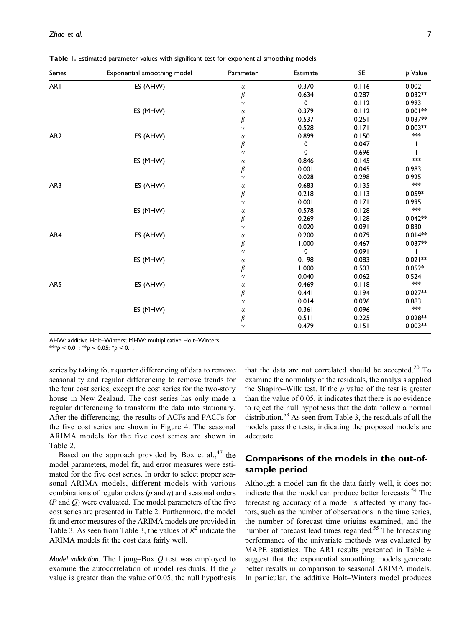Table 1. Estimated parameter values with significant test for exponential smoothing models.

| Series          | Exponential smoothing model | Parameter | Estimate | <b>SE</b> | p Value                   |
|-----------------|-----------------------------|-----------|----------|-----------|---------------------------|
| <b>ARI</b>      | ES (AHW)                    | α         | 0.370    | 0.116     | 0.002                     |
|                 |                             | $\beta$   | 0.634    | 0.287     | $0.032**$                 |
|                 |                             | γ         | 0        | 0.112     | 0.993                     |
|                 | ES (MHW)                    | $\alpha$  | 0.379    | 0.112     | $0.001**$                 |
|                 |                             | $\beta$   | 0.537    | 0.251     | $0.037**$                 |
|                 |                             | $\gamma$  | 0.528    | 0.171     | $0.003**$                 |
| AR <sub>2</sub> | ES (AHW)                    | $\alpha$  | 0.899    | 0.150     | $*$                       |
|                 |                             | $\beta$   | 0        | 0.047     |                           |
|                 |                             | γ         | 0        | 0.696     |                           |
|                 | ES (MHW)                    | $\alpha$  | 0.846    | 0.145     | $*$                       |
|                 |                             | $\beta$   | 0.001    | 0.045     | 0.983                     |
|                 |                             | $\gamma$  | 0.028    | 0.298     | 0.925                     |
| AR3             | ES (AHW)                    | $\alpha$  | 0.683    | 0.135     | $\star\!\!\star\!\!\star$ |
|                 |                             | $\beta$   | 0.218    | 0.113     | $0.059*$                  |
|                 |                             | $\gamma$  | 0.001    | 0.171     | 0.995                     |
|                 | ES (MHW)                    | $\alpha$  | 0.578    | 0.128     | $*$                       |
|                 |                             | $\beta$   | 0.269    | 0.128     | $0.042**$                 |
|                 |                             | γ         | 0.020    | 0.091     | 0.830                     |
| AR4             | ES (AHW)                    | α         | 0.200    | 0.079     | $0.014**$                 |
|                 |                             | $\beta$   | 1.000    | 0.467     | $0.037**$                 |
|                 |                             | $\gamma$  | 0        | 0.091     |                           |
|                 | ES (MHW)                    | α         | 0.198    | 0.083     | $0.021**$                 |
|                 |                             | $\beta$   | 1.000    | 0.503     | $0.052*$                  |
|                 |                             | γ         | 0.040    | 0.062     | 0.524                     |
| AR5             | ES (AHW)                    | $\alpha$  | 0.469    | 0.118     | $\frac{1}{2}$             |
|                 |                             | $\beta$   | 0.441    | 0.194     | $0.027**$                 |
|                 |                             | $\gamma$  | 0.014    | 0.096     | 0.883                     |
|                 | ES (MHW)                    | $\alpha$  | 0.361    | 0.096     | $\star\!\!\star\!\!\star$ |
|                 |                             | $\beta$   | 0.511    | 0.225     | $0.028**$                 |
|                 |                             | $\gamma$  | 0.479    | 0.151     | $0.003**$                 |

AHW: additive Holt–Winters; MHW: multiplicative Holt–Winters.

\*\*\*p < 0.01; \*\*p < 0.05; \*p < 0.1.

series by taking four quarter differencing of data to remove seasonality and regular differencing to remove trends for the four cost series, except the cost series for the two-story house in New Zealand. The cost series has only made a regular differencing to transform the data into stationary. After the differencing, the results of ACFs and PACFs for the five cost series are shown in Figure 4. The seasonal ARIMA models for the five cost series are shown in Table 2.

Based on the approach provided by Box et al.,  $47$  the model parameters, model fit, and error measures were estimated for the five cost series. In order to select proper seasonal ARIMA models, different models with various combinations of regular orders  $(p \text{ and } q)$  and seasonal orders  $(P \text{ and } Q)$  were evaluated. The model parameters of the five cost series are presented in Table 2. Furthermore, the model fit and error measures of the ARIMA models are provided in Table 3. As seen from Table 3, the values of  $R^2$  indicate the ARIMA models fit the cost data fairly well.

Model validation. The Ljung–Box  $Q$  test was employed to examine the autocorrelation of model residuals. If the  $p$ value is greater than the value of 0.05, the null hypothesis that the data are not correlated should be accepted. $20$  To examine the normality of the residuals, the analysis applied the Shapiro–Wilk test. If the  $p$  value of the test is greater than the value of 0.05, it indicates that there is no evidence to reject the null hypothesis that the data follow a normal distribution.<sup>53</sup> As seen from Table 3, the residuals of all the models pass the tests, indicating the proposed models are adequate.

## Comparisons of the models in the out-ofsample period

Although a model can fit the data fairly well, it does not indicate that the model can produce better forecasts.<sup>54</sup> The forecasting accuracy of a model is affected by many factors, such as the number of observations in the time series, the number of forecast time origins examined, and the number of forecast lead times regarded.<sup>55</sup> The forecasting performance of the univariate methods was evaluated by MAPE statistics. The AR1 results presented in Table 4 suggest that the exponential smoothing models generate better results in comparison to seasonal ARIMA models. In particular, the additive Holt–Winters model produces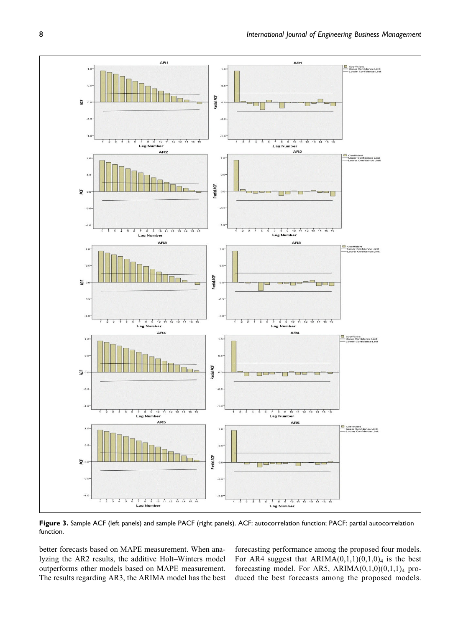

Figure 3. Sample ACF (left panels) and sample PACF (right panels). ACF: autocorrelation function; PACF: partial autocorrelation function.

better forecasts based on MAPE measurement. When analyzing the AR2 results, the additive Holt–Winters model outperforms other models based on MAPE measurement. The results regarding AR3, the ARIMA model has the best

forecasting performance among the proposed four models. For AR4 suggest that  $ARIMA(0,1,1)(0,1,0)_4$  is the best forecasting model. For AR5, ARIMA $(0,1,0)(0,1,1)_4$  produced the best forecasts among the proposed models.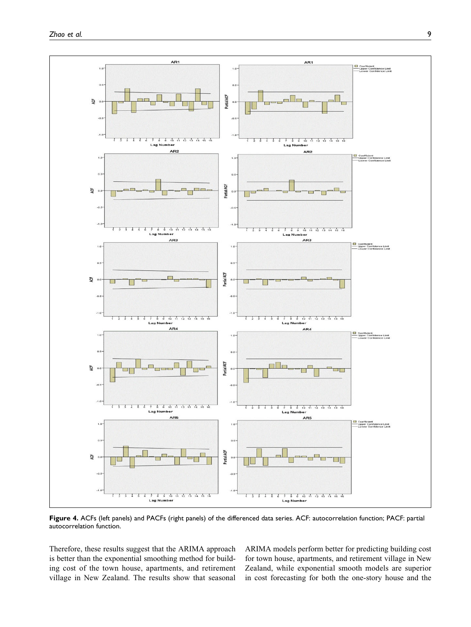

Figure 4. ACFs (left panels) and PACFs (right panels) of the differenced data series. ACF: autocorrelation function; PACF: partial autocorrelation function.

Therefore, these results suggest that the ARIMA approach is better than the exponential smoothing method for building cost of the town house, apartments, and retirement village in New Zealand. The results show that seasonal ARIMA models perform better for predicting building cost for town house, apartments, and retirement village in New Zealand, while exponential smooth models are superior in cost forecasting for both the one-story house and the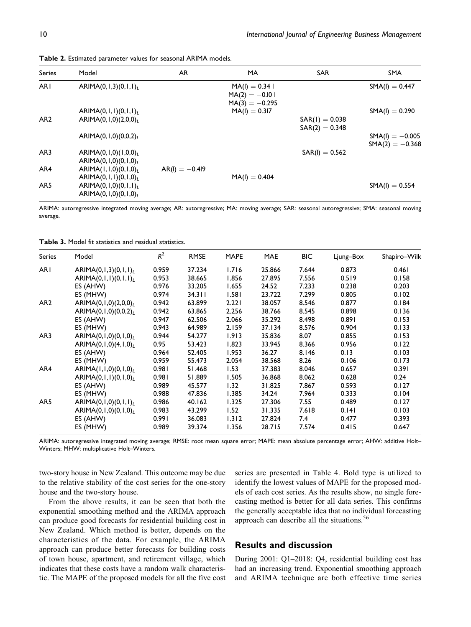| Model                  | AR                                                                                                                                                            | MA               | <b>SAR</b>       | <b>SMA</b>        |
|------------------------|---------------------------------------------------------------------------------------------------------------------------------------------------------------|------------------|------------------|-------------------|
| ARIMA $(0,1,3)(0,1,1)$ |                                                                                                                                                               | $MA(I) = 0.34 I$ |                  | $SMA(I) = 0.447$  |
|                        |                                                                                                                                                               | $MA(2) = -0.101$ |                  |                   |
|                        |                                                                                                                                                               | $MA(3) = -0.295$ |                  |                   |
| ARIMA(0,1,1)(0,1,1)    |                                                                                                                                                               | $MA(I) = 0.317$  |                  | $SMA(I) = 0.290$  |
| ARIMA(0,1,0)(2,0,0)    |                                                                                                                                                               |                  | $SAR(1) = 0.038$ |                   |
|                        |                                                                                                                                                               |                  | $SAR(2) = 0.348$ |                   |
| ARIMA(0,1,0)(0,0,2)    |                                                                                                                                                               |                  |                  | $SMA(I) = -0.005$ |
|                        |                                                                                                                                                               |                  |                  | $SMA(2) = -0.368$ |
|                        |                                                                                                                                                               |                  |                  |                   |
|                        |                                                                                                                                                               |                  |                  |                   |
|                        |                                                                                                                                                               |                  |                  |                   |
|                        |                                                                                                                                                               |                  |                  |                   |
|                        |                                                                                                                                                               |                  |                  | $SMA(I) = 0.554$  |
|                        |                                                                                                                                                               |                  |                  |                   |
|                        | ARIMA(0,1,0)(1,0,0)<br>ARIMA(0,1,0)(0,1,0)<br>ARIMA(I,I,0)(0,I,0)<br>ARIMA(0,1,1)(0,1,0) <sub>L</sub><br>ARIMA(0,1,0)(0,1,1)<br>ARIMA $(0, 1, 0)$ $(0, 1, 0)$ | $AR(I) = -0.419$ | $MA(I) = 0.404$  | $SAR(I) = 0.562$  |

Table 2. Estimated parameter values for seasonal ARIMA models.

ARIMA: autoregressive integrated moving average; AR: autoregressive; MA: moving average; SAR: seasonal autoregressive; SMA: seasonal moving average.

| <b>Series</b>   | Model                               | $R^2$ | <b>RMSE</b> | <b>MAPE</b> | <b>MAE</b> | <b>BIC</b> | Ljung-Box | Shapiro-Wilk |
|-----------------|-------------------------------------|-------|-------------|-------------|------------|------------|-----------|--------------|
| AR <sub>I</sub> | ARIMA $(0,1,3)(0,1,1)$ <sub>L</sub> | 0.959 | 37.234      | 1.716       | 25.866     | 7.644      | 0.873     | 0.461        |
|                 | ARIMA(0,1,1)(0,1,1)                 | 0.953 | 38.665      | 1.856       | 27.895     | 7.556      | 0.519     | 0.158        |
|                 | ES (AHW)                            | 0.976 | 33.205      | 1.655       | 24.52      | 7.233      | 0.238     | 0.203        |
|                 | ES (MHW)                            | 0.974 | 34.311      | 1.581       | 23.722     | 7.299      | 0.805     | 0.102        |
| AR <sub>2</sub> | ARIMA(0,1,0)(2,0,0) <sub>L</sub>    | 0.942 | 63.899      | 2.221       | 38.057     | 8.546      | 0.877     | 0.184        |
|                 | ARIMA(0,1,0)(0,0,2)                 | 0.942 | 63.865      | 2.256       | 38.766     | 8.545      | 0.898     | 0.136        |
|                 | ES (AHW)                            | 0.947 | 62.506      | 2.066       | 35.292     | 8.498      | 0.891     | 0.153        |
|                 | ES (MHW)                            | 0.943 | 64.989      | 2.159       | 37.134     | 8.576      | 0.904     | 0.133        |
| AR3             | ARIMA $(0, 1, 0)$ $(0, 1, 0)$       | 0.944 | 54.277      | 1.913       | 35.836     | 8.07       | 0.855     | 0.153        |
|                 | ARIMA $(0, 1, 0)$ $(4, 1, 0)$       | 0.95  | 53.423      | 1.823       | 33.945     | 8.366      | 0.956     | 0.122        |
|                 | ES (AHW)                            | 0.964 | 52.405      | 1.953       | 36.27      | 8.146      | 0.13      | 0.103        |
|                 | ES (MHW)                            | 0.959 | 55.473      | 2.054       | 38.568     | 8.26       | 0.106     | 0.173        |
| AR4             | ARIMA(I, I, 0)(0, I, 0)             | 0.981 | 51.468      | 1.53        | 37.383     | 8.046      | 0.657     | 0.391        |
|                 | ARIMA(0,1,1)(0,1,0)                 | 0.981 | 51.889      | 1.505       | 36.868     | 8.062      | 0.628     | 0.24         |
|                 | ES (AHW)                            | 0.989 | 45.577      | 1.32        | 31.825     | 7.867      | 0.593     | 0.127        |
|                 | ES (MHW)                            | 0.988 | 47.836      | 1.385       | 34.24      | 7.964      | 0.333     | 0.104        |
| AR <sub>5</sub> | ARIMA(0,1,0)(0,1,1)                 | 0.986 | 40.162      | 1.325       | 27.306     | 7.55       | 0.489     | 0.127        |
|                 | ARIMA(0,1,0)(0,1,0)                 | 0.983 | 43.299      | 1.52        | 31.335     | 7.618      | 0.141     | 0.103        |
|                 | ES (AHW)                            | 0.991 | 36.083      | 1.312       | 27.824     | 7.4        | 0.477     | 0.393        |
|                 | ES (MHW)                            | 0.989 | 39.374      | 1.356       | 28.715     | 7.574      | 0.415     | 0.647        |

ARIMA: autoregressive integrated moving average; RMSE: root mean square error; MAPE: mean absolute percentage error; AHW: additive Holt– Winters; MHW: multiplicative Holt–Winters.

two-story house in New Zealand. This outcome may be due to the relative stability of the cost series for the one-story house and the two-story house.

From the above results, it can be seen that both the exponential smoothing method and the ARIMA approach can produce good forecasts for residential building cost in New Zealand. Which method is better, depends on the characteristics of the data. For example, the ARIMA approach can produce better forecasts for building costs of town house, apartment, and retirement village, which indicates that these costs have a random walk characteristic. The MAPE of the proposed models for all the five cost series are presented in Table 4. Bold type is utilized to identify the lowest values of MAPE for the proposed models of each cost series. As the results show, no single forecasting method is better for all data series. This confirms the generally acceptable idea that no individual forecasting approach can describe all the situations.<sup>56</sup>

## Results and discussion

During 2001: Q1–2018: Q4, residential building cost has had an increasing trend. Exponential smoothing approach and ARIMA technique are both effective time series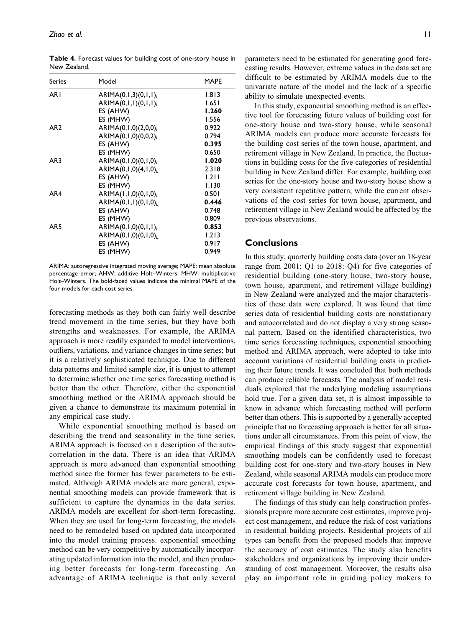| Series          | Model                                      | MAPE  |
|-----------------|--------------------------------------------|-------|
| AR I            | ARIMA(0,1,3)(0,1,1) <sub>L</sub>           | 1.813 |
|                 | ARIMA(0,1,1)(0,1,1) <sub>L</sub>           | 1.651 |
|                 | ES (AHW)                                   | 1.260 |
|                 | ES (MHW)                                   | 1.556 |
| AR <sub>2</sub> | ARIMA $(0, 1, 0)$ $(2, 0, 0)$ <sub>L</sub> | 0.922 |
|                 | ARIMA $(0, 1, 0)$ $(0, 0, 2)$ <sub>L</sub> | 0.794 |
|                 | ES (AHW)                                   | 0.395 |
|                 | ES (MHW)                                   | 0.650 |
| AR3             | ARIMA $(0, 1, 0)$ $(0, 1, 0)$ <sub>L</sub> | 1.020 |
|                 | ARIMA(0,1,0)(4,1,0)                        | 2.318 |
|                 | ES (AHW)                                   | 1.211 |
|                 | ES (MHW)                                   | 1.130 |
| AR4             | ARIMA(I,I,0)(0,I,0)                        | 0.501 |
|                 | ARIMA $(0, 1, 1)$ $(0, 1, 0)$ <sub>L</sub> | 0.446 |
|                 | ES (AHW)                                   | 0.748 |
|                 | ES (MHW)                                   | 0.809 |
| AR <sub>5</sub> | ARIMA(0,1,0)(0,1,1) <sub>L</sub>           | 0.853 |
|                 | ARIMA(0,1,0)(0,1,0) <sub>L</sub>           | 1.213 |
|                 | ES (AHW)                                   | 0.917 |
|                 | ES (MHW)                                   | 0.949 |

Table 4. Forecast values for building cost of one-story house in New Zealand.

ARIMA: autoregressive integrated moving average; MAPE: mean absolute percentage error; AHW: additive Holt–Winters; MHW: multiplicative Holt–Winters. The bold-faced values indicate the minimal MAPE of the four models for each cost series.

forecasting methods as they both can fairly well describe trend movement in the time series, but they have both strengths and weaknesses. For example, the ARIMA approach is more readily expanded to model interventions, outliers, variations, and variance changes in time series; but it is a relatively sophisticated technique. Due to different data patterns and limited sample size, it is unjust to attempt to determine whether one time series forecasting method is better than the other. Therefore, either the exponential smoothing method or the ARIMA approach should be given a chance to demonstrate its maximum potential in any empirical case study.

While exponential smoothing method is based on describing the trend and seasonality in the time series, ARIMA approach is focused on a description of the autocorrelation in the data. There is an idea that ARIMA approach is more advanced than exponential smoothing method since the former has fewer parameters to be estimated. Although ARIMA models are more general, exponential smoothing models can provide framework that is sufficient to capture the dynamics in the data series. ARIMA models are excellent for short-term forecasting. When they are used for long-term forecasting, the models need to be remodeled based on updated data incorporated into the model training process. exponential smoothing method can be very competitive by automatically incorporating updated information into the model, and then producing better forecasts for long-term forecasting. An advantage of ARIMA technique is that only several

parameters need to be estimated for generating good forecasting results. However, extreme values in the data set are difficult to be estimated by ARIMA models due to the univariate nature of the model and the lack of a specific ability to simulate unexpected events.

In this study, exponential smoothing method is an effective tool for forecasting future values of building cost for one-story house and two-story house, while seasonal ARIMA models can produce more accurate forecasts for the building cost series of the town house, apartment, and retirement village in New Zealand. In practice, the fluctuations in building costs for the five categories of residential building in New Zealand differ. For example, building cost series for the one-story house and two-story house show a very consistent repetitive pattern, while the current observations of the cost series for town house, apartment, and retirement village in New Zealand would be affected by the previous observations.

## **Conclusions**

In this study, quarterly building costs data (over an 18-year range from 2001: Q1 to 2018: Q4) for five categories of residential building (one-story house, two-story house, town house, apartment, and retirement village building) in New Zealand were analyzed and the major characteristics of these data were explored. It was found that time series data of residential building costs are nonstationary and autocorrelated and do not display a very strong seasonal pattern. Based on the identified characteristics, two time series forecasting techniques, exponential smoothing method and ARIMA approach, were adopted to take into account variations of residential building costs in predicting their future trends. It was concluded that both methods can produce reliable forecasts. The analysis of model residuals explored that the underlying modeling assumptions hold true. For a given data set, it is almost impossible to know in advance which forecasting method will perform better than others. This is supported by a generally accepted principle that no forecasting approach is better for all situations under all circumstances. From this point of view, the empirical findings of this study suggest that exponential smoothing models can be confidently used to forecast building cost for one-story and two-story houses in New Zealand, while seasonal ARIMA models can produce more accurate cost forecasts for town house, apartment, and retirement village building in New Zealand.

The findings of this study can help construction professionals prepare more accurate cost estimates, improve project cost management, and reduce the risk of cost variations in residential building projects. Residential projects of all types can benefit from the proposed models that improve the accuracy of cost estimates. The study also benefits stakeholders and organizations by improving their understanding of cost management. Moreover, the results also play an important role in guiding policy makers to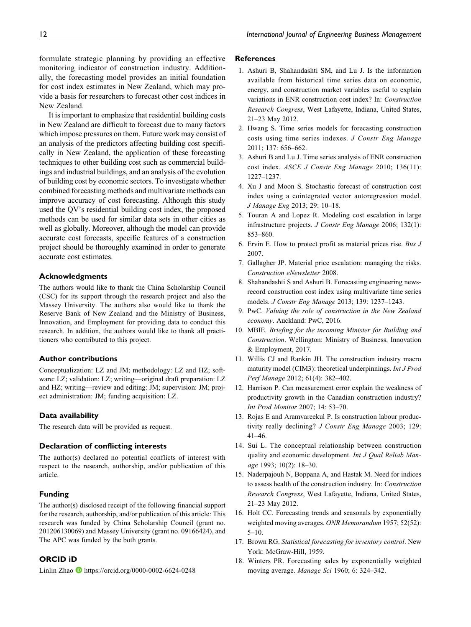formulate strategic planning by providing an effective monitoring indicator of construction industry. Additionally, the forecasting model provides an initial foundation for cost index estimates in New Zealand, which may provide a basis for researchers to forecast other cost indices in New Zealand.

It is important to emphasize that residential building costs in New Zealand are difficult to forecast due to many factors which impose pressures on them. Future work may consist of an analysis of the predictors affecting building cost specifically in New Zealand, the application of these forecasting techniques to other building cost such as commercial buildings and industrial buildings, and an analysis of the evolution of building cost by economic sectors. To investigate whether combined forecasting methods and multivariate methods can improve accuracy of cost forecasting. Although this study used the QV's residential building cost index, the proposed methods can be used for similar data sets in other cities as well as globally. Moreover, although the model can provide accurate cost forecasts, specific features of a construction project should be thoroughly examined in order to generate accurate cost estimates.

## Acknowledgments

The authors would like to thank the China Scholarship Council (CSC) for its support through the research project and also the Massey University. The authors also would like to thank the Reserve Bank of New Zealand and the Ministry of Business, Innovation, and Employment for providing data to conduct this research. In addition, the authors would like to thank all practitioners who contributed to this project.

#### Author contributions

Conceptualization: LZ and JM; methodology: LZ and HZ; software: LZ; validation: LZ; writing—original draft preparation: LZ and HZ; writing—review and editing: JM; supervision: JM; project administration: JM; funding acquisition: LZ.

#### Data availability

The research data will be provided as request.

#### Declaration of conflicting interests

The author(s) declared no potential conflicts of interest with respect to the research, authorship, and/or publication of this article.

#### Funding

The author(s) disclosed receipt of the following financial support for the research, authorship, and/or publication of this article: This research was funded by China Scholarship Council (grant no. 201206130069) and Massey University (grant no. 09166424), and The APC was funded by the both grants.

## ORCID iD

Linlin Zhao **<https://orcid.org/0000-0002-6624-0248>** 

#### **References**

- 1. Ashuri B, Shahandashti SM, and Lu J. Is the information available from historical time series data on economic, energy, and construction market variables useful to explain variations in ENR construction cost index? In: Construction Research Congress, West Lafayette, Indiana, United States, 21–23 May 2012.
- 2. Hwang S. Time series models for forecasting construction costs using time series indexes. J Constr Eng Manage 2011; 137: 656–662.
- 3. Ashuri B and Lu J. Time series analysis of ENR construction cost index. ASCE J Constr Eng Manage 2010; 136(11): 1227–1237.
- 4. Xu J and Moon S. Stochastic forecast of construction cost index using a cointegrated vector autoregression model. J Manage Eng 2013; 29: 10–18.
- 5. Touran A and Lopez R. Modeling cost escalation in large infrastructure projects. J Constr Eng Manage 2006; 132(1): 853–860.
- 6. Ervin E. How to protect profit as material prices rise. Bus J 2007.
- 7. Gallagher JP. Material price escalation: managing the risks. Construction eNewsletter 2008.
- 8. Shahandashti S and Ashuri B. Forecasting engineering newsrecord construction cost index using multivariate time series models. J Constr Eng Manage 2013; 139: 1237–1243.
- 9. PwC. Valuing the role of construction in the New Zealand economy. Auckland: PwC, 2016.
- 10. MBIE. Briefing for the incoming Minister for Building and Construction. Wellington: Ministry of Business, Innovation & Employment, 2017.
- 11. Willis CJ and Rankin JH. The construction industry macro maturity model (CIM3): theoretical underpinnings. Int J Prod Perf Manage 2012; 61(4): 382–402.
- 12. Harrison P. Can measurement error explain the weakness of productivity growth in the Canadian construction industry? Int Prod Monitor 2007; 14: 53–70.
- 13. Rojas E and Aramvareekul P. Is construction labour productivity really declining? J Constr Eng Manage 2003; 129: 41–46.
- 14. Sui L. The conceptual relationship between construction quality and economic development. Int J Qual Reliab Manage 1993; 10(2): 18–30.
- 15. Naderpajouh N, Boppana A, and Hastak M. Need for indices to assess health of the construction industry. In: Construction Research Congress, West Lafayette, Indiana, United States, 21–23 May 2012.
- 16. Holt CC. Forecasting trends and seasonals by exponentially weighted moving averages. ONR Memorandum 1957; 52(52): 5–10.
- 17. Brown RG. Statistical forecasting for inventory control. New York: McGraw-Hill, 1959.
- 18. Winters PR. Forecasting sales by exponentially weighted moving average. Manage Sci 1960; 6: 324–342.